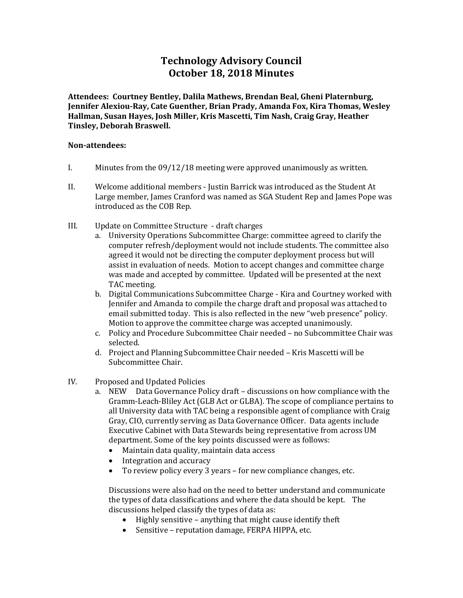# **Technology Advisory Council October 18, 2018 Minutes**

**Attendees: Courtney Bentley, Dalila Mathews, Brendan Beal, Gheni Platernburg, Jennifer Alexiou-Ray, Cate Guenther, Brian Prady, Amanda Fox, Kira Thomas, Wesley Hallman, Susan Hayes, Josh Miller, Kris Mascetti, Tim Nash, Craig Gray, Heather Tinsley, Deborah Braswell.** 

### **Non-attendees:**

- I. Minutes from the 09/12/18 meeting were approved unanimously as written.
- II. Welcome additional members Justin Barrick was introduced as the Student At Large member, James Cranford was named as SGA Student Rep and James Pope was introduced as the COB Rep.
- III. Update on Committee Structure draft charges
	- a. University Operations Subcommittee Charge: committee agreed to clarify the computer refresh/deployment would not include students. The committee also agreed it would not be directing the computer deployment process but will assist in evaluation of needs. Motion to accept changes and committee charge was made and accepted by committee. Updated will be presented at the next TAC meeting.
	- b. Digital Communications Subcommittee Charge Kira and Courtney worked with Jennifer and Amanda to compile the charge draft and proposal was attached to email submitted today. This is also reflected in the new "web presence" policy. Motion to approve the committee charge was accepted unanimously.
	- c. Policy and Procedure Subcommittee Chair needed no Subcommittee Chair was selected.
	- d. Project and Planning Subcommittee Chair needed Kris Mascetti will be Subcommittee Chair.
- IV. Proposed and Updated Policies
	- a. NEW Data Governance Policy draft discussions on how compliance with the Gramm-Leach-Bliley Act (GLB Act or GLBA). The scope of compliance pertains to all University data with TAC being a responsible agent of compliance with Craig Gray, CIO, currently serving as Data Governance Officer. Data agents include Executive Cabinet with Data Stewards being representative from across UM department. Some of the key points discussed were as follows:
		- Maintain data quality, maintain data access
		- Integration and accuracy<br>• To review policy every 3
		- To review policy every 3 years for new compliance changes, etc.

Discussions were also had on the need to better understand and communicate the types of data classifications and where the data should be kept. The discussions helped classify the types of data as:

- Highly sensitive anything that might cause identify theft
- Sensitive reputation damage, FERPA HIPPA, etc.